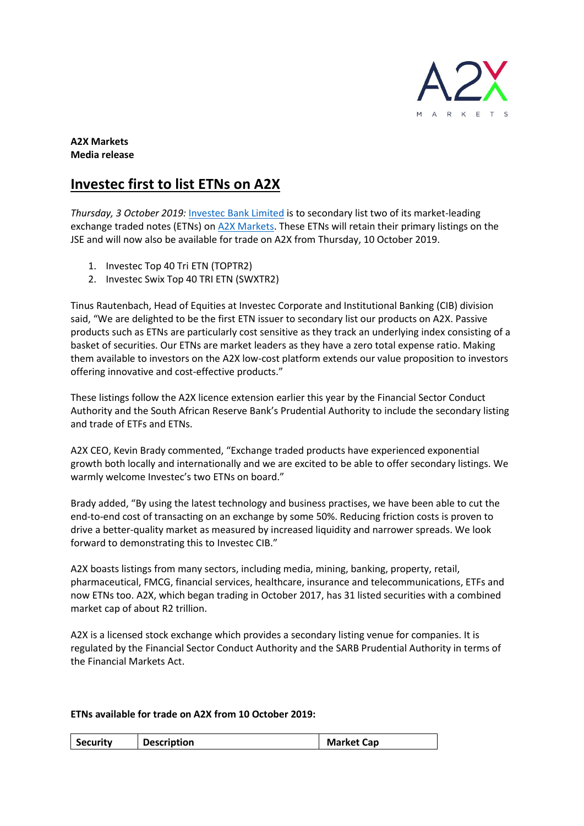

## **A2X Markets Media release**

## **Investec first to list ETNs on A2X**

*Thursday, 3 October 2019:* [Investec Bank Limited](https://www.investec.com/en_za.html) is to secondary list two of its market-leading exchange traded notes (ETNs) on A2X [Markets.](https://www.a2x.co.za/) These ETNs will retain their primary listings on the JSE and will now also be available for trade on A2X from Thursday, 10 October 2019.

- 1. Investec Top 40 Tri ETN (TOPTR2)
- 2. Investec Swix Top 40 TRI ETN (SWXTR2)

Tinus Rautenbach, Head of Equities at Investec Corporate and Institutional Banking (CIB) division said, "We are delighted to be the first ETN issuer to secondary list our products on A2X. Passive products such as ETNs are particularly cost sensitive as they track an underlying index consisting of a basket of securities. Our ETNs are market leaders as they have a zero total expense ratio. Making them available to investors on the A2X low-cost platform extends our value proposition to investors offering innovative and cost-effective products."

These listings follow the A2X licence extension earlier this year by the Financial Sector Conduct Authority and the South African Reserve Bank's Prudential Authority to include the secondary listing and trade of ETFs and ETNs.

A2X CEO, Kevin Brady commented, "Exchange traded products have experienced exponential growth both locally and internationally and we are excited to be able to offer secondary listings. We warmly welcome Investec's two ETNs on board."

Brady added, "By using the latest technology and business practises, we have been able to cut the end-to-end cost of transacting on an exchange by some 50%. Reducing friction costs is proven to drive a better-quality market as measured by increased liquidity and narrower spreads. We look forward to demonstrating this to Investec CIB."

A2X boasts listings from many sectors, including media, mining, banking, property, retail, pharmaceutical, FMCG, financial services, healthcare, insurance and telecommunications, ETFs and now ETNs too. A2X, which began trading in October 2017, has 31 listed securities with a combined market cap of about R2 trillion.

A2X is a licensed stock exchange which provides a secondary listing venue for companies. It is regulated by the Financial Sector Conduct Authority and the SARB Prudential Authority in terms of the Financial Markets Act.

## **ETNs available for trade on A2X from 10 October 2019:**

| <b>Description</b><br><b>Security</b><br><b>Market Cap</b> |
|------------------------------------------------------------|
|------------------------------------------------------------|